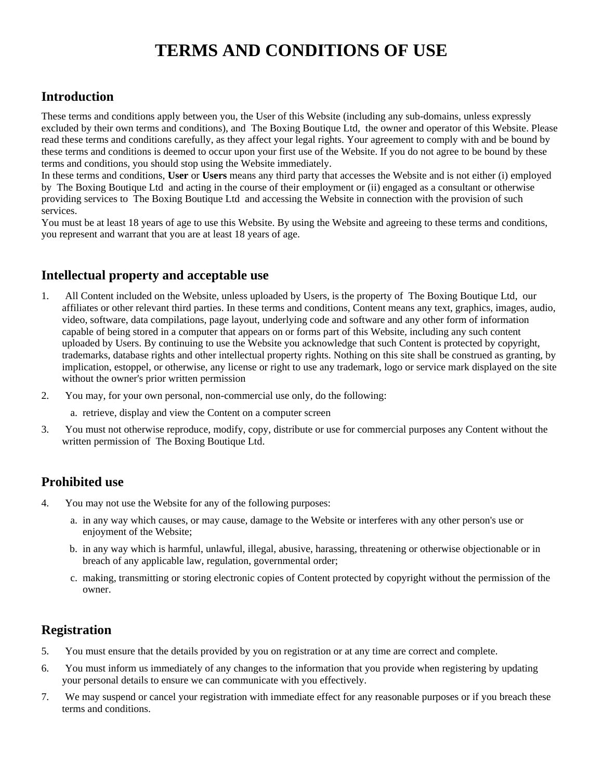# **TERMS AND CONDITIONS OF USE**

## **Introduction**

These terms and conditions apply between you, the User of this Website (including any sub-domains, unless expressly excluded by their own terms and conditions), and The Boxing Boutique Ltd, the owner and operator of this Website. Please read these terms and conditions carefully, as they affect your legal rights. Your agreement to comply with and be bound by these terms and conditions is deemed to occur upon your first use of the Website. If you do not agree to be bound by these terms and conditions, you should stop using the Website immediately.

In these terms and conditions, **User** or **Users** means any third party that accesses the Website and is not either (i) employed by The Boxing Boutique Ltd and acting in the course of their employment or (ii) engaged as a consultant or otherwise providing services to The Boxing Boutique Ltd and accessing the Website in connection with the provision of such services.

You must be at least 18 years of age to use this Website. By using the Website and agreeing to these terms and conditions, you represent and warrant that you are at least 18 years of age.

# **Intellectual property and acceptable use**

- 1. All Content included on the Website, unless uploaded by Users, is the property of The Boxing Boutique Ltd, our affiliates or other relevant third parties. In these terms and conditions, Content means any text, graphics, images, audio, video, software, data compilations, page layout, underlying code and software and any other form of information capable of being stored in a computer that appears on or forms part of this Website, including any such content uploaded by Users. By continuing to use the Website you acknowledge that such Content is protected by copyright, trademarks, database rights and other intellectual property rights. Nothing on this site shall be construed as granting, by implication, estoppel, or otherwise, any license or right to use any trademark, logo or service mark displayed on the site without the owner's prior written permission
- 2. You may, for your own personal, non-commercial use only, do the following:
	- a. retrieve, display and view the Content on a computer screen
- 3. You must not otherwise reproduce, modify, copy, distribute or use for commercial purposes any Content without the written permission of The Boxing Boutique Ltd.

## **Prohibited use**

- 4. You may not use the Website for any of the following purposes:
	- a. in any way which causes, or may cause, damage to the Website or interferes with any other person's use or enjoyment of the Website;
	- b. in any way which is harmful, unlawful, illegal, abusive, harassing, threatening or otherwise objectionable or in breach of any applicable law, regulation, governmental order;
	- c. making, transmitting or storing electronic copies of Content protected by copyright without the permission of the owner.

## **Registration**

- 5. You must ensure that the details provided by you on registration or at any time are correct and complete.
- 6. You must inform us immediately of any changes to the information that you provide when registering by updating your personal details to ensure we can communicate with you effectively.
- 7. We may suspend or cancel your registration with immediate effect for any reasonable purposes or if you breach these terms and conditions.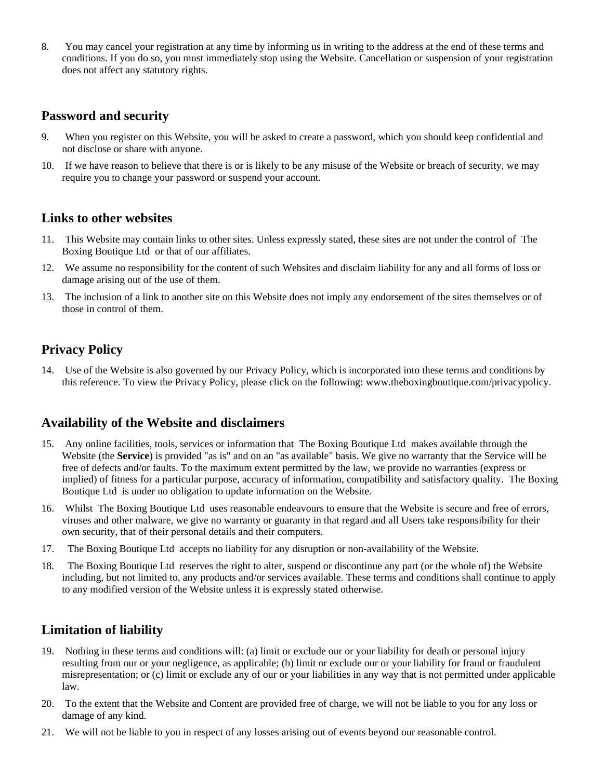8. You may cancel your registration at any time by informing us in writing to the address at the end of these terms and conditions. If you do so, you must immediately stop using the Website. Cancellation or suspension of your registration does not affect any statutory rights.

## **Password and security**

- 9. When you register on this Website, you will be asked to create a password, which you should keep confidential and not disclose or share with anyone.
- 10. If we have reason to believe that there is or is likely to be any misuse of the Website or breach of security, we may require you to change your password or suspend your account.

#### **Links to other websites**

- 11. This Website may contain links to other sites. Unless expressly stated, these sites are not under the control of The Boxing Boutique Ltd or that of our affiliates.
- 12. We assume no responsibility for the content of such Websites and disclaim liability for any and all forms of loss or damage arising out of the use of them.
- 13. The inclusion of a link to another site on this Website does not imply any endorsement of the sites themselves or of those in control of them.

## **Privacy Policy**

14. Use of the Website is also governed by our Privacy Policy, which is incorporated into these terms and conditions by this reference. To view the Privacy Policy, please click on the following: www.theboxingboutique.com/privacypolicy.

#### **Availability of the Website and disclaimers**

- 15. Any online facilities, tools, services or information that The Boxing Boutique Ltd makes available through the Website (the **Service**) is provided "as is" and on an "as available" basis. We give no warranty that the Service will be free of defects and/or faults. To the maximum extent permitted by the law, we provide no warranties (express or implied) of fitness for a particular purpose, accuracy of information, compatibility and satisfactory quality. The Boxing Boutique Ltd is under no obligation to update information on the Website.
- 16. Whilst The Boxing Boutique Ltd uses reasonable endeavours to ensure that the Website is secure and free of errors, viruses and other malware, we give no warranty or guaranty in that regard and all Users take responsibility for their own security, that of their personal details and their computers.
- 17. The Boxing Boutique Ltd accepts no liability for any disruption or non-availability of the Website.
- 18. The Boxing Boutique Ltd reserves the right to alter, suspend or discontinue any part (or the whole of) the Website including, but not limited to, any products and/or services available. These terms and conditions shall continue to apply to any modified version of the Website unless it is expressly stated otherwise.

## **Limitation of liability**

- 19. Nothing in these terms and conditions will: (a) limit or exclude our or your liability for death or personal injury resulting from our or your negligence, as applicable; (b) limit or exclude our or your liability for fraud or fraudulent misrepresentation; or (c) limit or exclude any of our or your liabilities in any way that is not permitted under applicable law.
- 20. To the extent that the Website and Content are provided free of charge, we will not be liable to you for any loss or damage of any kind.
- 21. We will not be liable to you in respect of any losses arising out of events beyond our reasonable control.